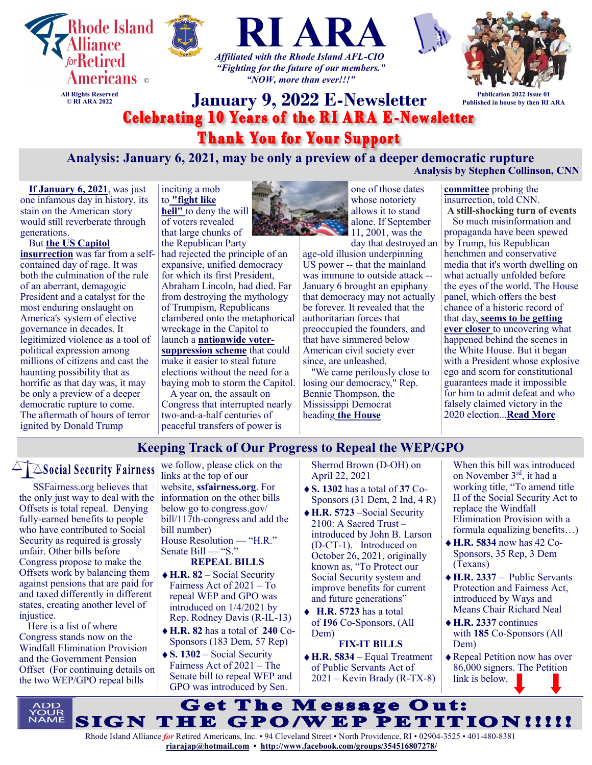

**[If January 6, 2021](https://www.cnn.com/specials/politics/capitol-riot-investigations)**, was just one infamous day in history, its stain on the American story would still reverberate through generations.

But **[the US Capitol](https://www.cnn.com/2021/11/05/politics/january-6-timeline-trump-coup/index.html)  [insurrection](https://www.cnn.com/2021/11/05/politics/january-6-timeline-trump-coup/index.html)** was far from a selfcontained day of rage. It was both the culmination of the rule of an aberrant, demagogic President and a catalyst for the most enduring onslaught on America's system of elective governance in decades. It legitimized violence as a tool of political expression among millions of citizens and cast the haunting possibility that as horrific as that day was, it may be only a preview of a deeper democratic rupture to come. The aftermath of hours of terror ignited by Donald Trump

inciting a mob to **["fight like](https://www.cnn.com/2021/02/08/politics/trump-impeachment-brief-filing/index.html)  [hell"](https://www.cnn.com/2021/02/08/politics/trump-impeachment-brief-filing/index.html)** to deny the will of voters revealed that large chunks of

the Republican Party had rejected the principle of an expansive, unified democracy for which its first President, Abraham Lincoln, had died. Far from destroying the mythology of Trumpism, Republicans clambered onto the metaphorical wreckage in the Capitol to launch a **[nationwide voter](https://www.cnn.com/2021/05/07/politics/voting-rights-florida-texas/index.html)[suppression scheme](https://www.cnn.com/2021/05/07/politics/voting-rights-florida-texas/index.html)** that could make it easier to steal future elections without the need for a baying mob to storm the Capitol.

A year on, the assault on Congress that interrupted nearly two-and-a-half centuries of peaceful transfers of power is



one of those dates whose notoriety allows it to stand alone. If September 11, 2001, was the

day that destroyed an age-old illusion underpinning US power -- that the mainland was immune to outside attack -- January 6 brought an epiphany that democracy may not actually be forever. It revealed that the authoritarian forces that preoccupied the founders, and that have simmered below American civil society ever since, are unleashed.

"We came perilously close to losing our democracy," Rep. Bennie Thompson, the Mississippi Democrat heading **[the House](https://www.cnn.com/2021/12/29/politics/january-6-committee-investigation-trump-what-matters/index.html)** 

**[committee](https://www.cnn.com/2021/12/29/politics/january-6-committee-investigation-trump-what-matters/index.html)** probing the insurrection, told CNN.

**A still-shocking turn of events** So much misinformation and

propaganda have been spewed by Trump, his Republican henchmen and conservative media that it's worth dwelling on what actually unfolded before the eyes of the world. The House panel, which offers the best chance of a historic record of that day, **[seems to be getting](https://www.cnn.com/2021/09/11/us/gallery/9-11-anniversary-memorials/index.html)  [ever closer](https://www.cnn.com/2021/09/11/us/gallery/9-11-anniversary-memorials/index.html)** to uncovering what happened behind the scenes in the White House. But it began with a President whose explosive ego and scorn for constitutional guarantees made it impossible for him to admit defeat and who falsely claimed victory in the 2020 election...**[Read More](https://www.msn.com/en-us/news/politics/analysis-january-6-2021-may-be-only-a-preview-of-a-deeper-democratic-rupture/ar-AASu0WT?li=BB141NW3&ocid=SK2DDHP)**

#### **Keeping Track of Our Progress to Repeal the WEP/GPO**

 $\supseteq$  |  $\supseteq$  Social Security Fairness

 S[SFairness.org believes that](https://ssfairness.org/)  the only just way to deal with the Offsets is total repeal. Denying fully-earned benefits to people who have contributed to Social Security as required is grossly unfair. Other bills before Congress propose to make the Offsets work by balancing them against pensions that are paid for and taxed differently in different states, creating another level of injustice.

Here is a list of where Congress stands now on the Windfall Elimination Provision and the Government Pension Offset (For continuing details on the two WEP/GPO repeal bills

we follow, please click on the links at the top of our website, **[ssfairness.org](https://ssfairness.org/alert-12-12-21-keeping-track-of-our-progress/ssfairness@gmail.org)**. For information on the other bills below go to [congress.gov/](http://congress.gov/bill/117th-congress) [bill/117th](http://congress.gov/bill/117th-congress)-congress and add the bill number) House Resolution — "H.R." Senate Bill — "S."

#### **REPEAL BILLS**

- **H.R. 82** Social Security Fairness Act of 2021 – To repeal WEP and GPO was introduced on 1/4/2021 by Rep. Rodney Davis (R-IL-13)
- **H.R. 82** has a total of **240** Co-Sponsors (183 Dem, 57 Rep)
- **S. 1302** Social Security Fairness Act of 2021 – The Senate bill to repeal WEP and GPO was introduced by Sen.

Sherrod Brown (D-OH) on April 22, 2021

- **S. 1302** has a total of **37** Co-Sponsors (31 Dem, 2 Ind, 4 R)
- **H.R. 5723** –Social Security 2100: A Sacred Trust – introduced by John B. Larson (D-CT-1). Introduced on October 26, 2021, originally known as, "To Protect our Social Security system and improve benefits for current and future generations"
- **H.R. 5723** has a total of **196** Co-Sponsors, (All Dem)

#### **FIX-IT BILLS**

**H.R. 5834** – Equal Treatment of Public Servants Act of 2021 – Kevin Brady (R-TX-8) When this bill was introduced on November 3rd, it had a working title, "To amend title II of the Social Security Act to replace the Windfall Elimination Provision with a formula equalizing benefits…)

- **H.R. 5834** now has 42 Co-Sponsors, 35 Rep, 3 Dem (Texans)
- **H.R. 2337** Public Servants Protection and Fairness Act, introduced by Ways and Means Chair Richard Neal
- **H.R. 2337** continues with **185** Co-Sponsors (All Dem)
- Repeal Petition now has over 86,000 signers. The Petition link is below.

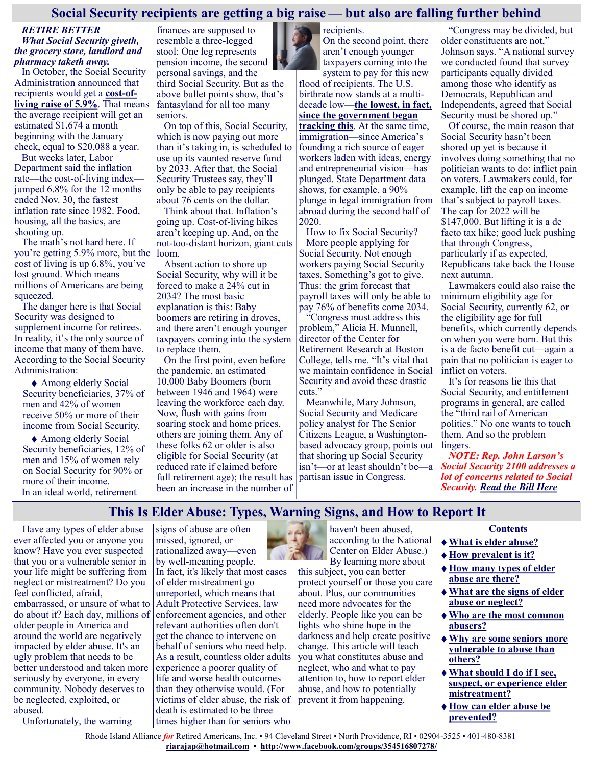#### **Social Security recipients are getting a big raise — but also are falling further behind**

*RETIRE BETTER What Social Security giveth, the grocery store, landlord and pharmacy taketh away.*

In October, the Social Security Administration announced that recipients would get a **[cost](https://www.ssa.gov/news/press/releases/2021/#10-2021-2)-of[living raise of 5.9%](https://www.ssa.gov/news/press/releases/2021/#10-2021-2)**. That means the average recipient will get an estimated \$1,674 a month beginning with the January check, equal to \$20,088 a year.

But weeks later, Labor Department said the inflation rate—the cost-of-living index jumped 6.8% for the 12 months ended Nov. 30, the fastest inflation rate since 1982. Food, housing, all the basics, are shooting up.

The math's not hard here. If you're getting 5.9% more, but the cost of living is up 6.8%, you've lost ground. Which means millions of Americans are being squeezed.

The danger here is that Social Security was designed to supplement income for retirees. In reality, it's the only source of income that many of them have. According to the Social Security Administration:

Among elderly Social Security beneficiaries, 37% of men and 42% of women receive 50% or more of their income from Social Security.

Among elderly Social Security beneficiaries, 12% of men and 15% of women rely on Social Security for 90% or more of their income. In an ideal world, retirement

finances are supposed to resemble a three-legged stool: One leg represents pension income, the second personal savings, and the third Social Security. But as the above bullet points show, that's fantasyland for all too many seniors.

On top of this, Social Security, which is now paying out more than it's taking in, is scheduled to use up its vaunted reserve fund by 2033. After that, the Social Security Trustees say, they'll only be able to pay recipients about 76 cents on the dollar.

Think about that. Inflation's going up. Cost-of-living hikes aren't keeping up. And, on the not-too-distant horizon, giant cuts loom.

Absent action to shore up Social Security, why will it be forced to make a 24% cut in 2034? The most basic explanation is this: Baby boomers are retiring in droves, and there aren't enough younger taxpayers coming into the system to replace them.

On the first point, even before the pandemic, an estimated 10,000 Baby Boomers (born between 1946 and 1964) were leaving the workforce each day. Now, flush with gains from soaring stock and home prices, others are joining them. Any of these folks 62 or older is also eligible for Social Security (at reduced rate if claimed before full retirement age); the result has been an increase in the number of

recipients. On the second point, there aren't enough younger taxpayers coming into the system to pay for this new flood of recipients. The U.S. birthrate now stands at a multidecade low—**[the lowest, in fact,](https://fivethirtyeight.com/features/how-low-can-americas-birth-rate-go-before-its-a-problem/)  [since the government began](https://fivethirtyeight.com/features/how-low-can-americas-birth-rate-go-before-its-a-problem/)  [tracking this](https://fivethirtyeight.com/features/how-low-can-americas-birth-rate-go-before-its-a-problem/)**. At the same time, immigration—since America's founding a rich source of eager workers laden with ideas, energy and entrepreneurial vision—has plunged. State Department data shows, for example, a 90% plunge in legal immigration from abroad during the second half of 2020.

How to fix Social Security? More people applying for Social Security. Not enough workers paying Social Security taxes. Something's got to give. Thus: the grim forecast that payroll taxes will only be able to pay 76% of benefits come 2034.

"Congress must address this problem," Alicia H. Munnell, director of the Center for Retirement Research at Boston College, tells me. "It's vital that we maintain confidence in Social Security and avoid these drastic cuts."

Meanwhile, Mary Johnson, Social Security and Medicare policy analyst for The Senior Citizens League, a Washingtonbased advocacy group, points out that shoring up Social Security isn't—or at least shouldn't be—a partisan issue in Congress.

"Congress may be divided, but older constituents are not," Johnson says. "A national survey we conducted found that survey participants equally divided among those who identify as Democrats, Republican and Independents, agreed that Social Security must be shored up."

Of course, the main reason that Social Security hasn't been shored up yet is because it involves doing something that no politician wants to do: inflict pain on voters. Lawmakers could, for example, lift the cap on income that's subject to payroll taxes. The cap for 2022 will be \$147,000. But lifting it is a de facto tax hike; good luck pushing that through Congress, particularly if as expected, Republicans take back the House next autumn.

Lawmakers could also raise the minimum eligibility age for Social Security, currently 62, or the eligibility age for full benefits, which currently depends on when you were born. But this is a de facto benefit cut—again a pain that no politician is eager to inflict on voters.

It's for reasons lie this that Social Security, and entitlement programs in general, are called the "third rail of American politics." No one wants to touch them. And so the problem lingers.

*NOTE: Rep. John Larson's Social Security 2100 addresses a lot of concerns related to Social Security. [Read the Bill Here](https://www.congress.gov/bill/117th-congress/house-bill/5723/text)*

#### **This Is Elder Abuse: Types, Warning Signs, and How to Report It**

Have any types of elder abuse ever affected you or anyone you know? Have you ever suspected that you or a vulnerable senior in your life might be suffering from neglect or mistreatment? Do you feel conflicted, afraid, embarrassed, or unsure of what to do about it? Each day, millions of older people in America and around the world are negatively impacted by elder abuse. It's an ugly problem that needs to be better understood and taken more seriously by everyone, in every community. Nobody deserves to be neglected, exploited, or abused.

Unfortunately, the warning

signs of abuse are often missed, ignored, or rationalized away—even by well-meaning people.

In fact, it's likely that most cases of elder mistreatment go unreported, which means that Adult Protective Services, law enforcement agencies, and other relevant authorities often don't get the chance to intervene on behalf of seniors who need help. As a result, countless older adults experience a poorer quality of life and worse health outcomes than they otherwise would. (For victims of elder abuse, the risk of death is estimated to be three times higher than for seniors who



haven't been abused, according to the National [Center on Elder Abuse.\)](https://ncea.acl.gov/About-Us/What-We-Do/Research/Statistics-and-Data.aspx) By learning more about

this subject, you can better protect yourself or those you care about. Plus, our communities need more advocates for the elderly. People like you can be lights who shine hope in the darkness and help create positive change. This article will teach you what constitutes abuse and neglect, who and what to pay attention to, how to report elder abuse, and how to potentially prevent it from happening.

#### **Contents**

- **[What is elder abuse?](https://www.greatseniorliving.com/articles/elder-abuse#what-is-elder-abuse)**
- **[How prevalent is it?](https://www.greatseniorliving.com/articles/elder-abuse#what-is-elder-abuse)**
- **[How many types of elder](https://www.greatseniorliving.com/articles/elder-abuse#types-elder-abuse)  [abuse are there?](https://www.greatseniorliving.com/articles/elder-abuse#types-elder-abuse)**
- **[What are the signs of elder](https://www.greatseniorliving.com/articles/elder-abuse#signs-elder-abuse)  [abuse or neglect?](https://www.greatseniorliving.com/articles/elder-abuse#signs-elder-abuse)**
- **[Who are the most common](https://www.greatseniorliving.com/articles/elder-abuse#most-common-abusers)  [abusers?](https://www.greatseniorliving.com/articles/elder-abuse#most-common-abusers)**
- **[Why are some seniors more](https://www.greatseniorliving.com/articles/elder-abuse#why-some-more-vulnerable)  [vulnerable to abuse than](https://www.greatseniorliving.com/articles/elder-abuse#why-some-more-vulnerable)  [others?](https://www.greatseniorliving.com/articles/elder-abuse#why-some-more-vulnerable)**
- **[What should I do if I see,](https://www.greatseniorliving.com/articles/elder-abuse#what-should-do)  [suspect, or experience elder](https://www.greatseniorliving.com/articles/elder-abuse#what-should-do)  [mistreatment?](https://www.greatseniorliving.com/articles/elder-abuse#what-should-do)**
- **[How can elder abuse be](https://www.greatseniorliving.com/articles/elder-abuse#how-abuse-prevented)  [prevented?](https://www.greatseniorliving.com/articles/elder-abuse#how-abuse-prevented)**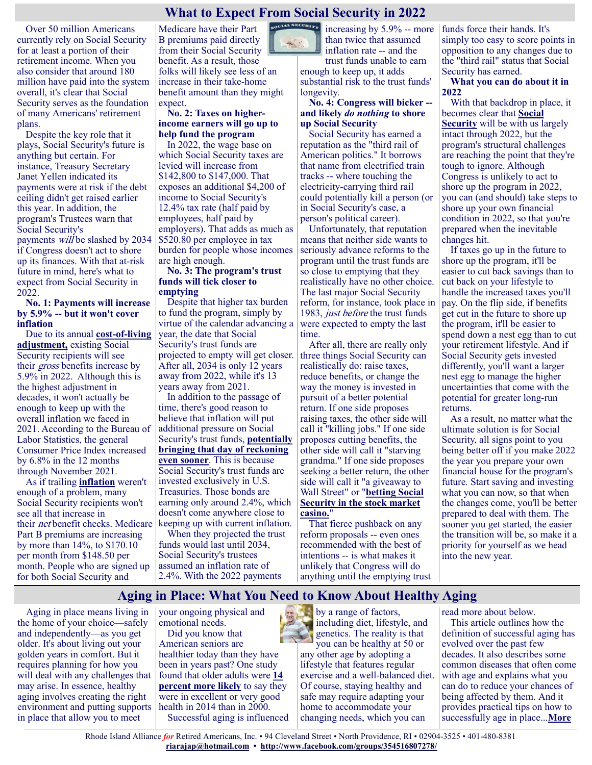#### **What to Expect From Social Security in 2022**

Over 50 million Americans currently rely on Social Security for at least a portion of their retirement income. When you also consider that around 180 million have paid into the system overall, it's clear that Social Security serves as the foundation of many Americans' retirement plans.

Despite the key role that it plays, Social Security's future is anything but certain. For instance, Treasury Secretary Janet Yellen indicated its payments were at risk if the debt ceiling didn't get raised earlier this year. In addition, the program's Trustees warn that Social Security's

payments will be slashed by 2034 if Congress doesn't act to shore up its finances. With that at-risk future in mind, here's what to expect from Social Security in 2022.

#### **No. 1: Payments will increase by 5.9% -- but it won't cover inflation**

Due to its annual **cost-of-[living](https://www.fool.com/investing/2021/11/11/bad-news-about-2022-big-social-security-raise/?utm_source=msnrss&utm_medium=feed&utm_campaign=article&referring_guid=3e4e0915-c3a4-4d78-b8cc-e3151b536574)  [adjustment,](https://www.fool.com/investing/2021/11/11/bad-news-about-2022-big-social-security-raise/?utm_source=msnrss&utm_medium=feed&utm_campaign=article&referring_guid=3e4e0915-c3a4-4d78-b8cc-e3151b536574)** existing Social Security recipients will see their *gross* benefits increase by 5.9% in 2022. Although this is the highest adjustment in decades, it won't actually be enough to keep up with the overall inflation we faced in 2021. According to the Bureau of Labor Statistics, the general Consumer Price Index increased by 6.8% in the 12 months through November 2021.

As if trailing **[inflation](https://www.fool.com/investing/how-to-invest/inflation/?utm_source=msnrss&utm_medium=feed&utm_campaign=article&referring_guid=3e4e0915-c3a4-4d78-b8cc-e3151b536574)** weren't enough of a problem, many Social Security recipients won't see all that increase in their net benefit checks. Medicare Part B premiums are increasing by more than 14%, to \$170.10 per month from \$148.50 per month. People who are signed up for both Social Security and

Medicare have their Part B premiums paid directly from their Social Security benefit. As a result, those folks will likely see less of an increase in their take-home benefit amount than they might expect.

#### **No. 2: Taxes on higherincome earners will go up to help fund the program**

In 2022, the wage base on which Social Security taxes are levied will increase from \$142,800 to \$147,000. That exposes an additional \$4,200 of income to Social Security's 12.4% tax rate (half paid by employees, half paid by employers). That adds as much as \$520.80 per employee in tax burden for people whose incomes are high enough.

#### **No. 3: The program's trust funds will tick closer to emptying**

Despite that higher tax burden to fund the program, simply by virtue of the calendar advancing a year, the date that Social Security's trust funds are projected to empty will get closer. After all, 2034 is only 12 years away from 2022, while it's 13 years away from 2021.

In addition to the passage of time, there's good reason to believe that inflation will put additional pressure on Social Security's trust funds, **[potentially](https://www.fool.com/retirement/2021/07/31/how-inflation-is-killing-social-security-quicker/?utm_source=msnrss&utm_medium=feed&utm_campaign=article&referring_guid=3e4e0915-c3a4-4d78-b8cc-e3151b536574)  [bringing that day of reckoning](https://www.fool.com/retirement/2021/07/31/how-inflation-is-killing-social-security-quicker/?utm_source=msnrss&utm_medium=feed&utm_campaign=article&referring_guid=3e4e0915-c3a4-4d78-b8cc-e3151b536574)  [even sooner](https://www.fool.com/retirement/2021/07/31/how-inflation-is-killing-social-security-quicker/?utm_source=msnrss&utm_medium=feed&utm_campaign=article&referring_guid=3e4e0915-c3a4-4d78-b8cc-e3151b536574)**. This is because Social Security's trust funds are invested exclusively in U.S. Treasuries. Those bonds are earning only around 2.4%, which doesn't come anywhere close to keeping up with current inflation.

When they projected the trust funds would last until 2034, Social Security's trustees assumed an inflation rate of 2.4%. With the 2022 payments



increasing by 5.9% -- more than twice that assumed inflation rate -- and the trust funds unable to earn

enough to keep up, it adds substantial risk to the trust funds' longevity.

#### **No. 4: Congress will bicker - and likely** *do nothing* **to shore up Social Security**

Social Security has earned a reputation as the "third rail of American politics." It borrows that name from electrified train tracks -- where touching the electricity-carrying third rail could potentially kill a person (or in Social Security's case, a person's political career).

Unfortunately, that reputation means that neither side wants to seriously advance reforms to the program until the trust funds are so close to emptying that they realistically have no other choice. The last major Social Security reform, for instance, took place in 1983, just before the trust funds were expected to empty the last time.

After all, there are really only three things Social Security can realistically do: raise taxes, reduce benefits, or change the way the money is invested in pursuit of a better potential return. If one side proposes raising taxes, the other side will call it "killing jobs." If one side proposes cutting benefits, the other side will call it "starving grandma." If one side proposes seeking a better return, the other side will call it "a giveaway to Wall Street" or "**[betting Social](https://www.fool.com/retirement/2019/04/14/investing-social-security-into-the-stock-market-is.aspx?utm_source=msnrss&utm_medium=feed&utm_campaign=article&referring_guid=3e4e0915-c3a4-4d78-b8cc-e3151b536574)  [Security in the stock market](https://www.fool.com/retirement/2019/04/14/investing-social-security-into-the-stock-market-is.aspx?utm_source=msnrss&utm_medium=feed&utm_campaign=article&referring_guid=3e4e0915-c3a4-4d78-b8cc-e3151b536574)  [casino.](https://www.fool.com/retirement/2019/04/14/investing-social-security-into-the-stock-market-is.aspx?utm_source=msnrss&utm_medium=feed&utm_campaign=article&referring_guid=3e4e0915-c3a4-4d78-b8cc-e3151b536574)**"

That fierce pushback on any reform proposals -- even ones recommended with the best of intentions -- is what makes it unlikely that Congress will do anything until the emptying trust funds force their hands. It's simply too easy to score points in opposition to any changes due to the "third rail" status that Social Security has earned.

#### **What you can do about it in 2022**

With that backdrop in place, it becomes clear that **[Social](https://www.fool.com/retirement/social-security/?utm_source=msnrss&utm_medium=feed&utm_campaign=article&referring_guid=3e4e0915-c3a4-4d78-b8cc-e3151b536574)  [Security](https://www.fool.com/retirement/social-security/?utm_source=msnrss&utm_medium=feed&utm_campaign=article&referring_guid=3e4e0915-c3a4-4d78-b8cc-e3151b536574)** will be with us largely intact through 2022, but the program's structural challenges are reaching the point that they're tough to ignore. Although Congress is unlikely to act to shore up the program in 2022, you can (and should) take steps to shore up your own financial condition in 2022, so that you're prepared when the inevitable changes hit.

If taxes go up in the future to shore up the program, it'll be easier to cut back savings than to cut back on your lifestyle to handle the increased taxes you'll pay. On the flip side, if benefits get cut in the future to shore up the program, it'll be easier to spend down a nest egg than to cut your retirement lifestyle. And if Social Security gets invested differently, you'll want a larger nest egg to manage the higher uncertainties that come with the potential for greater long-run returns.

As a result, no matter what the ultimate solution is for Social Security, all signs point to you being better off if you make 2022 the year you prepare your own financial house for the program's future. Start saving and investing what you can now, so that when the changes come, you'll be better prepared to deal with them. The sooner you get started, the easier the transition will be, so make it a priority for yourself as we head into the new year.

#### **Aging in Place: What You Need to Know About Healthy Aging**

Aging in place means living in the home of your choice—safely and independently—as you get older. It's about living out your golden years in comfort. But it requires planning for how you will deal with any challenges that may arise. In essence, healthy aging involves creating the right environment and putting supports in place that allow you to meet

your ongoing physical and emotional needs. Did you know that

American seniors are healthier today than they have been in years past? One study found that older adults were **[14](https://jamanetwork.com/journals/jamainternalmedicine/article-abstract/2653447)  [percent more likely](https://jamanetwork.com/journals/jamainternalmedicine/article-abstract/2653447)** to say they were in excellent or very good health in 2014 than in 2000.

Successful aging is influenced

by a range of factors, including diet, lifestyle, and genetics. The reality is that you can be healthy at 50 or any other age by adopting a lifestyle that features regular exercise and a well-balanced diet. Of course, staying healthy and safe may require adapting your home to accommodate your changing needs, which you can

read more about below.

This article outlines how the definition of successful aging has evolved over the past few decades. It also describes some common diseases that often come with age and explains what you can do to reduce your chances of being affected by them. And it provides practical tips on how to successfully age in place...**[More](https://www.greatseniorliving.com/articles/aging-in-place)**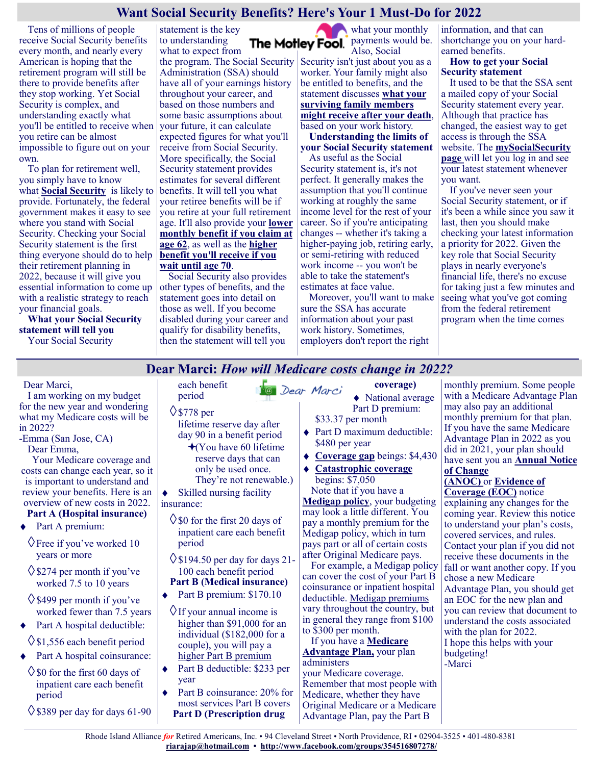#### **Want Social Security Benefits? Here's Your 1 Must-Do for 2022**

Tens of millions of people receive Social Security benefits every month, and nearly every American is hoping that the retirement program will still be there to provide benefits after they stop working. Yet Social Security is complex, and understanding exactly what you'll be entitled to receive when you retire can be almost impossible to figure out on your own.

To plan for retirement well, you simply have to know what **[Social Security](https://www.fool.com/retirement/social-security/?utm_source=msnrss&utm_medium=feed&utm_campaign=article&referring_guid=f236678b-12dd-4669-bfe1-87f5cc1a5cd1)** is likely to provide. Fortunately, the federal government makes it easy to see where you stand with Social Security. Checking your Social Security statement is the first thing everyone should do to help their retirement planning in 2022, because it will give you essential information to come up with a realistic strategy to reach your financial goals.

**What your Social Security statement will tell you** Your Social Security

statement is the key to understanding what to expect from the program. The Social Security Administration (SSA) should have all of your earnings history throughout your career, and based on those numbers and some basic assumptions about your future, it can calculate expected figures for what you'll receive from Social Security. More specifically, the Social Security statement provides estimates for several different benefits. It will tell you what your retiree benefits will be if you retire at your full retirement age. It'll also provide your **[lower](https://www.fool.com/retirement/2021/12/07/3-things-to-know-about-claiming-social-security-ea/?utm_source=msnrss&utm_medium=feed&utm_campaign=article&referring_guid=f236678b-12dd-4669-bfe1-87f5cc1a5cd1)  [monthly benefit if you claim at](https://www.fool.com/retirement/2021/12/07/3-things-to-know-about-claiming-social-security-ea/?utm_source=msnrss&utm_medium=feed&utm_campaign=article&referring_guid=f236678b-12dd-4669-bfe1-87f5cc1a5cd1)  [age 62](https://www.fool.com/retirement/2021/12/07/3-things-to-know-about-claiming-social-security-ea/?utm_source=msnrss&utm_medium=feed&utm_campaign=article&referring_guid=f236678b-12dd-4669-bfe1-87f5cc1a5cd1)**, as well as the **[higher](https://www.fool.com/retirement/2021/12/08/the-no-1-reason-to-claim-social-security-at-age-70/?utm_source=msnrss&utm_medium=feed&utm_campaign=article&referring_guid=f236678b-12dd-4669-bfe1-87f5cc1a5cd1)  [benefit you'll receive if you](https://www.fool.com/retirement/2021/12/08/the-no-1-reason-to-claim-social-security-at-age-70/?utm_source=msnrss&utm_medium=feed&utm_campaign=article&referring_guid=f236678b-12dd-4669-bfe1-87f5cc1a5cd1)  [wait until age 70](https://www.fool.com/retirement/2021/12/08/the-no-1-reason-to-claim-social-security-at-age-70/?utm_source=msnrss&utm_medium=feed&utm_campaign=article&referring_guid=f236678b-12dd-4669-bfe1-87f5cc1a5cd1)**.

Social Security also provides other types of benefits, and the statement goes into detail on those as well. If you become disabled during your career and qualify for disability benefits, then the statement will tell you

what your monthly The Motley Fool. payments would be. Also, Social Security isn't just about you as a worker. Your family might also be entitled to benefits, and the statement discusses **[what your](https://www.fool.com/retirement/2019/12/20/everything-you-need-to-know-about-social-security.aspx?utm_source=msnrss&utm_medium=feed&utm_campaign=article&referring_guid=f236678b-12dd-4669-bfe1-87f5cc1a5cd1)  [surviving family members](https://www.fool.com/retirement/2019/12/20/everything-you-need-to-know-about-social-security.aspx?utm_source=msnrss&utm_medium=feed&utm_campaign=article&referring_guid=f236678b-12dd-4669-bfe1-87f5cc1a5cd1)  [might receive after your death](https://www.fool.com/retirement/2019/12/20/everything-you-need-to-know-about-social-security.aspx?utm_source=msnrss&utm_medium=feed&utm_campaign=article&referring_guid=f236678b-12dd-4669-bfe1-87f5cc1a5cd1)**, based on your work history.

> **Understanding the limits of your Social Security statement**

> As useful as the Social Security statement is, it's not perfect. It generally makes the assumption that you'll continue working at roughly the same income level for the rest of your career. So if you're anticipating changes -- whether it's taking a higher-paying job, retiring early, or semi-retiring with reduced work income -- you won't be able to take the statement's estimates at face value.

> Moreover, you'll want to make sure the SSA has accurate information about your past work history. Sometimes, employers don't report the right

information, and that can shortchange you on your hardearned benefits.

#### **How to get your Social Security statement**

It used to be that the SSA sent a mailed copy of your Social Security statement every year. Although that practice has changed, the easiest way to get access is through the SSA website. The **[mySocialSecurity](https://www.ssa.gov/myaccount/)  [page](https://www.ssa.gov/myaccount/)** will let you log in and see your latest statement whenever you want.

If you've never seen your Social Security statement, or if it's been a while since you saw it last, then you should make checking your latest information a priority for 2022. Given the key role that Social Security plays in nearly everyone's financial life, there's no excuse for taking just a few minutes and seeing what you've got coming from the federal retirement program when the time comes

#### **Dear Marci:** *How will Medicare costs change in 2022?*  Dear Marci, each benefit monthly premium. Some people **coverage)** <u>le</u> Dear Marci with a Medicare Advantage Plan I am working on my budget period ◆ National average for the new year and wondering may also pay an additional Part D premium: **♦ \$778** per what my Medicare costs will be monthly premium for that plan. \$33.37 per month lifetime reserve day after in 2022? If you have the same Medicare ◆ Part D maximum deductible: day 90 in a benefit period -Emma (San Jose, CA) Advantage Plan in 2022 as you \$480 per year  $\bigstar$ (You have 60 lifetime Dear Emma, did in 2021, your plan should **[Coverage gap](https://medicarerights.us15.list-manage.com/track/click?u=1621f54a596f3717c22815356&id=c19162aa7a&e=88d22ba1fe)** beings: \$4,430 reserve days that can Your Medicare coverage and have sent you an **[Annual Notice](https://medicarerights.us15.list-manage.com/track/click?u=1621f54a596f3717c22815356&id=5f42800619&e=88d22ba1fe)  [Catastrophic coverage](https://medicarerights.us15.list-manage.com/track/click?u=1621f54a596f3717c22815356&id=86d46f0cd4&e=88d22ba1fe)** only be used once. costs can change each year, so it **[of Change](https://medicarerights.us15.list-manage.com/track/click?u=1621f54a596f3717c22815356&id=5f42800619&e=88d22ba1fe)**  begins: \$7,050 They're not renewable.) is important to understand and **[\(ANOC\)](https://medicarerights.us15.list-manage.com/track/click?u=1621f54a596f3717c22815356&id=5f42800619&e=88d22ba1fe)** or **[Evidence of](https://medicarerights.us15.list-manage.com/track/click?u=1621f54a596f3717c22815356&id=71c7b65fc3&e=88d22ba1fe)**  Note that if you have a review your benefits. Here is an Skilled nursing facility **[Coverage \(EOC\)](https://medicarerights.us15.list-manage.com/track/click?u=1621f54a596f3717c22815356&id=71c7b65fc3&e=88d22ba1fe)** notice **[Medigap policy](https://medicarerights.us15.list-manage.com/track/click?u=1621f54a596f3717c22815356&id=01e3a9f694&e=88d22ba1fe)**, your budgeting overview of new costs in 2022. insurance: explaining any changes for the may look a little different. You coming year. Review this notice **Part A (Hospital insurance)**  $\sqrt{$}80$  for the first 20 days of pay a monthly premium for the to understand your plan's costs, Part A premium: inpatient care each benefit Medigap policy, which in turn covered services, and rules.  $\Diamond$  Free if you've worked 10 period pays part or all of certain costs Contact your plan if you did not years or more after Original Medicare pays. receive these documents in the  $\sqrt{$}3194.50$  per day for days 21-For example, a Medigap policy fall or want another copy. If you  $\sqrt{2274}$  per month if you've 100 each benefit period can cover the cost of your Part B chose a new Medicare **Part B (Medical insurance)** worked 7.5 to 10 years coinsurance or inpatient hospital Advantage Plan, you should get Part B premium: \$170.10 deductible. [Medigap premiums](https://medicarerights.us15.list-manage.com/track/click?u=1621f54a596f3717c22815356&id=ca6e439457&e=88d22ba1fe)  $\sqrt{2}$ \$499 per month if you've an EOC for the new plan and vary throughout the country, but you can review that document to  $\Diamond$  If your annual income is worked fewer than 7.5 years in general they range from \$100 understand the costs associated higher than \$91,000 for an Part A hospital deductible: to \$300 per month. with the plan for 2022. individual (\$182,000 for a  $\sqrt{$}1,556$  each benefit period If you have a **[Medicare](https://medicarerights.us15.list-manage.com/track/click?u=1621f54a596f3717c22815356&id=93f30bc929&e=88d22ba1fe)**  I hope this helps with your couple), you will pay a **[Advantage Plan,](https://medicarerights.us15.list-manage.com/track/click?u=1621f54a596f3717c22815356&id=93f30bc929&e=88d22ba1fe)** your plan budgeting! Part A hospital coinsurance: [higher Part B premium](https://medicarerights.us15.list-manage.com/track/click?u=1621f54a596f3717c22815356&id=24da06601f&e=88d22ba1fe) administers -MarciPart B deductible: \$233 per  $\blacklozenge$  $\sqrt{$}80$  for the first 60 days of your Medicare coverage. year inpatient care each benefit Remember that most people with Part B coinsurance: 20% for period Medicare, whether they have

 $\Diamond$  \$389 per day for days 61-90

most services Part B covers **Part D (Prescription drug** 

# Original Medicare or a Medicare Advantage Plan, pay the Part B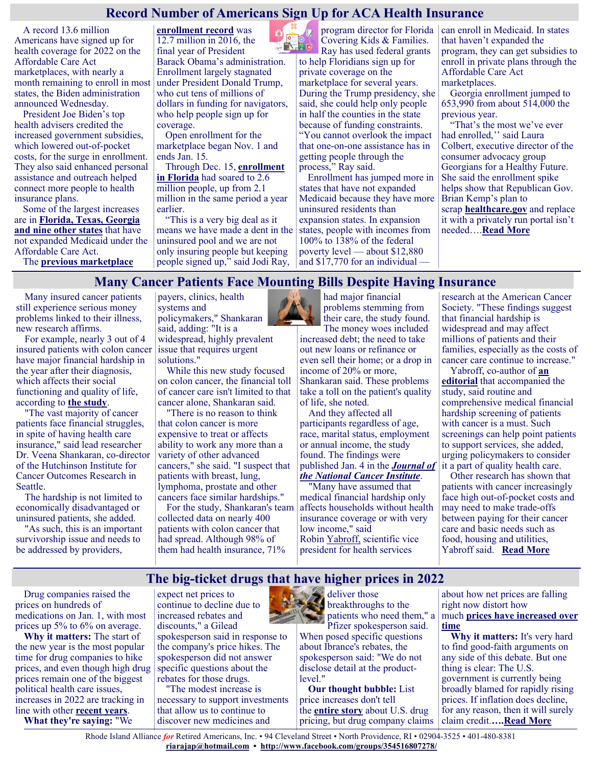#### **Record Number of Americans Sign Up for ACA Health Insurance**

A record 13.6 million Americans have signed up for health coverage for 2022 on the Affordable Care Act marketplaces, with nearly a month remaining to enroll in most states, the Biden administration announced Wednesday.

President Joe Biden's top health advisers credited the increased government subsidies, which lowered out-of-pocket costs, for the surge in enrollment. They also said enhanced personal assistance and outreach helped connect more people to health insurance plans.

Some of the largest increases are in **[Florida, Texas, Georgia](https://www.cms.gov/newsroom/fact-sheets/marketplace-weekly-enrollment-snapshot-week-6)  [and nine other states](https://www.cms.gov/newsroom/fact-sheets/marketplace-weekly-enrollment-snapshot-week-6)** that have not expanded Medicaid under the Affordable Care Act.

The **[previous marketplace](https://www.kff.org/health-reform/state-indicator/marketplace-enrollment/?currentTimeframe=5&sortModel=%7B%22colId%22:%22Location%22,%22sort%22:%22asc%22%7D)** 

**[enrollment record](https://www.kff.org/health-reform/state-indicator/marketplace-enrollment/?currentTimeframe=5&sortModel=%7B%22colId%22:%22Location%22,%22sort%22:%22asc%22%7D)** was 12.7 million in 2016, the final year of President Barack Obama's administration. Enrollment largely stagnated under President Donald Trump, who cut tens of millions of dollars in funding for navigators, who help people sign up for coverage.

Open enrollment for the marketplace began Nov. 1 and ends Jan. 15.

Through Dec. 15, **[enrollment](https://www.cms.gov/newsroom/fact-sheets/federal-health-insurance-exchange-weekly-enrollment-snapshot-week-six)  [in Florida](https://www.cms.gov/newsroom/fact-sheets/federal-health-insurance-exchange-weekly-enrollment-snapshot-week-six)** had soared to 2.6 million people, up from 2.1 million in the same period a year earlier.

"This is a very big deal as it means we have made a dent in the uninsured pool and we are not only insuring people but keeping people signed up," said Jodi Ray,



Covering Kids & Families. Ray has used federal grants to help Floridians sign up for private coverage on the marketplace for several years. During the Trump presidency, she said, she could help only people in half the counties in the state because of funding constraints. "You cannot overlook the impact that one-on-one assistance has in getting people through the process," Ray said.

Enrollment has jumped more in states that have not expanded Medicaid because they have more uninsured residents than expansion states. In expansion states, people with incomes from 100% to 138% of the federal poverty level — about \$12,880 and \$17,770 for an individual —

program director for Florida | can enroll in Medicaid. In states that haven't expanded the program, they can get subsidies to enroll in private plans through the Affordable Care Act marketplaces.

> Georgia enrollment jumped to 653,990 from about 514,000 the previous year.

"That's the most we've ever had enrolled,'' said Laura Colbert, executive director of the consumer advocacy group Georgians for a Healthy Future. She said the enrollment spike helps show that Republican Gov. Brian Kemp's plan to scrap **[healthcare.gov](http://healthcare.gov/)** and replace it with a privately run portal isn't needed….**[Read More](https://khn.org/news/article/record-number-of-americans-sign-up-for-aca-health-insurance/)**

#### **Many Cancer Patients Face Mounting Bills Despite Having Insurance**

Many insured cancer patients still experience serious money problems linked to their illness, new research affirms.

For example, nearly 3 out of 4 insured patients with colon cancer have major financial hardship in the year after their diagnosis, which affects their social functioning and quality of life, according to **[the study](https://academic.oup.com/jnci/advance-article/doi/10.1093/jnci/djab210/6492636?searchresult=1)**.

"The vast majority of cancer patients face financial struggles, in spite of having health care insurance," said lead researcher Dr. Veena Shankaran, co-director of the Hutchinson Institute for Cancer Outcomes Research in Seattle.

The hardship is not limited to economically disadvantaged or uninsured patients, she added.

"As such, this is an important survivorship issue and needs to be addressed by providers,

payers, clinics, health systems and policymakers," Shankaran said, adding: "It is a widespread, highly prevalent issue that requires urgent solutions."

While this new study focused on colon cancer, the financial toll of cancer care isn't limited to that cancer alone, Shankaran said.

"There is no reason to think that colon cancer is more expensive to treat or affects ability to work any more than a variety of other advanced cancers," she said. "I suspect that patients with breast, lung, lymphoma, prostate and other cancers face similar hardships."

For the study, Shankaran's team collected data on nearly 400 patients with colon cancer that had spread. Although 98% of them had health insurance, 71%

had major financial problems stemming from their care, the study found.

The money woes included increased debt; the need to take out new loans or refinance or even sell their home; or a drop in income of 20% or more, Shankaran said. These problems take a toll on the patient's quality of life, she noted.

And they affected all participants regardless of age, race, marital status, employment or annual income, the study found. The findings were published Jan. 4 in the *[Journal of](https://academic.oup.com/jnci/advance-article/doi/10.1093/jnci/djab210/6492636?searchresult=1)* 

*[the National Cancer Institute](https://academic.oup.com/jnci/advance-article/doi/10.1093/jnci/djab210/6492636?searchresult=1)*.

"Many have assumed that medical financial hardship only affects households without health insurance coverage or with very low income," said Robin [Yabroff,](https://www.cancer.org/latest-news/financial-problems-can-affect-cancer-survivors-for-years.html#:~:text=So%20a%20cancer%20diagnosis%20might,than%20one%20of%20those%20problems.) scientific vice president for health services

research at the American Cancer Society. "These findings suggest that financial hardship is widespread and may affect millions of patients and their families, especially as the costs of cancer care continue to increase."

Yabroff, co-author of **[an](https://academic.oup.com/jnci/advance-article/doi/10.1093/jnci/djab211/6492638?searchresult=1)  [editorial](https://academic.oup.com/jnci/advance-article/doi/10.1093/jnci/djab211/6492638?searchresult=1)** that accompanied the study, said routine and comprehensive medical financial hardship screening of patients with cancer is a must. Such screenings can help point patients to support services, she added, urging policymakers to consider it a part of quality health care.

Other research has shown that patients with cancer increasingly face high out-of-pocket costs and may need to make trade-offs between paying for their cancer care and basic needs such as food, housing and utilities, Yabroff said. **[Read More](https://consumer.healthday.com/1-4-many-cancer-patients-face-mounting-bills-despite-having-insurance-2656192462.html)**

#### **The big-ticket drugs that have higher prices in 2022**

Drug companies raised the prices on hundreds of medications on Jan. 1, with most prices up 5% to 6% on average.

**Why it matters:** The start of the new year is the most popular time for drug companies to hike prices, and even though high drug prices remain one of the biggest political health care issues, increases in 2022 are tracking in line with other **[recent](https://www.axios.com/drug-price-increases-new-year-2021-cf1fce6d-3c82-456f-9a6c-6b5144b4f061.html) years**. **What they're saying:** "We



rebates for those drugs. "The modest increase is necessary to support investments that allow us to continue to discover new medicines and



patients who need them," a Pfizer spokesperson said. When posed specific questions about Ibrance's rebates, the

spokesperson said: "We do not disclose detail at the productlevel." **Our thought bubble:** List

price increases don't tell the **[entire story](https://www.axios.com/generic-brand-drug-prices-express-scripts-coverage-dc62b393-a086-4179-a48b-beb27e3a847b.html)** about U.S. drug pricing, but drug company claims about how net prices are falling right now distort how much **[prices have increased over](https://twitter.com/sean_r_dickson/status/1364988109792956418)  [time](https://twitter.com/sean_r_dickson/status/1364988109792956418)**

**Why it matters:** It's very hard to find good-faith arguments on any side of this debate. But one thing is clear: The U.S. government is currently being broadly blamed for rapidly rising prices. If inflation does decline, for any reason, then it will surely claim credit.**…[.Read More](https://consumer.healthday.com/1-4-many-cancer-patients-face-mounting-bills-despite-having-insurance-2656192462.html)**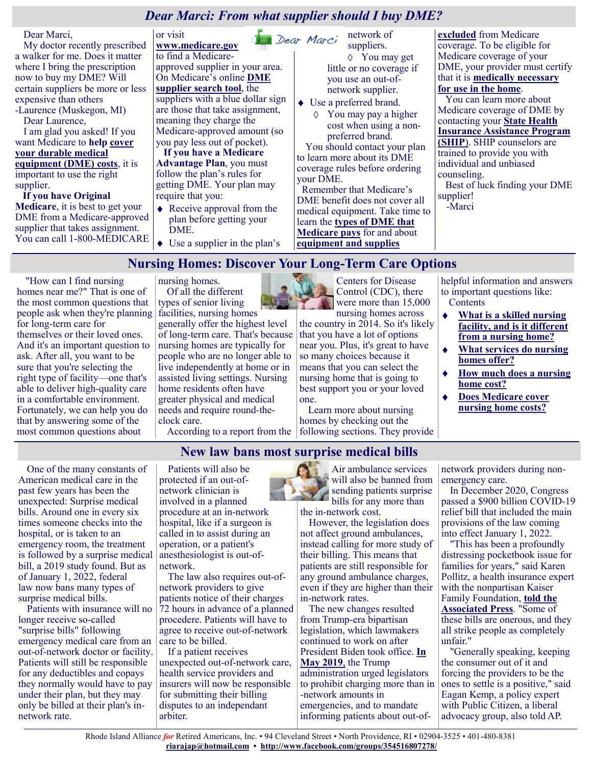#### *Dear Marci: From what supplier should I buy DME?*

Dear Marci,

My doctor recently prescribed a walker for me. Does it matter where I bring the prescription now to buy my DME? Will certain suppliers be more or less expensive than others

-Laurence (Muskegon, MI) Dear Laurence,

I am glad you asked! If you want Medicare to **help [cover](https://medicarerights.us15.list-manage.com/track/click?u=1621f54a596f3717c22815356&id=e168baf6fa&e=88d22ba1fe)  [your durable medical](https://medicarerights.us15.list-manage.com/track/click?u=1621f54a596f3717c22815356&id=e168baf6fa&e=88d22ba1fe)  [equipment \(DME\) costs](https://medicarerights.us15.list-manage.com/track/click?u=1621f54a596f3717c22815356&id=e168baf6fa&e=88d22ba1fe)**, it is important to use the right supplier.

 **If you have Original Medicare**, it is best to get your DME from a Medicare-approved supplier that takes assignment. You can call 1-800-MEDICARE **[www.medicare.gov](https://medicarerights.us15.list-manage.com/track/click?u=1621f54a596f3717c22815356&id=70d3ddaf22&e=88d22ba1fe)** to find a Medicareapproved supplier in your area. On Medicare's online **[DME](https://medicarerights.us15.list-manage.com/track/click?u=1621f54a596f3717c22815356&id=1712327716&e=88d22ba1fe)  [supplier search tool](https://medicarerights.us15.list-manage.com/track/click?u=1621f54a596f3717c22815356&id=1712327716&e=88d22ba1fe)**, the suppliers with a blue dollar sign are those that take assignment, meaning they charge the Medicare-approved amount (so you pay less out of pocket).

or visit

 **If you have a Medicare Advantage Plan**, you must follow the plan's rules for getting DME. Your plan may require that you:

- Receive approval from the plan before getting your DME.
- Use a supplier in the plan's

network of 1<sup>0</sup> Dear Marci suppliers. You may get little or no coverage if you use an out-ofnetwork supplier.

- Use a preferred brand.
	- You may pay a higher cost when using a nonpreferred brand.

You should contact your plan to learn more about its DME coverage rules before ordering your DME.

Remember that Medicare's DME benefit does not cover all medical equipment. Take time to learn the **[types of DME that](https://medicarerights.us15.list-manage.com/track/click?u=1621f54a596f3717c22815356&id=5b1348cf04&e=88d22ba1fe)  [Medicare pays](https://medicarerights.us15.list-manage.com/track/click?u=1621f54a596f3717c22815356&id=5b1348cf04&e=88d22ba1fe)** for and about **[equipment and supplies](https://medicarerights.us15.list-manage.com/track/click?u=1621f54a596f3717c22815356&id=43871cb730&e=88d22ba1fe)** 

**[excluded](https://medicarerights.us15.list-manage.com/track/click?u=1621f54a596f3717c22815356&id=43871cb730&e=88d22ba1fe)** from Medicare coverage. To be eligible for Medicare coverage of your DME, your provider must certify that it is **[medically necessary](https://medicarerights.us15.list-manage.com/track/click?u=1621f54a596f3717c22815356&id=8bb61819c5&e=88d22ba1fe)  [for use in the home](https://medicarerights.us15.list-manage.com/track/click?u=1621f54a596f3717c22815356&id=8bb61819c5&e=88d22ba1fe)**.

 You can learn more about Medicare coverage of DME by contacting your **[State Health](https://medicarerights.us15.list-manage.com/track/click?u=1621f54a596f3717c22815356&id=80afa46600&e=88d22ba1fe)  [Insurance Assistance Program](https://medicarerights.us15.list-manage.com/track/click?u=1621f54a596f3717c22815356&id=80afa46600&e=88d22ba1fe)  [\(SHIP](https://medicarerights.us15.list-manage.com/track/click?u=1621f54a596f3717c22815356&id=80afa46600&e=88d22ba1fe)**). SHIP counselors are trained to provide you with individual and unbiased counseling. Best of luck finding your DME supplier! -Marci

#### **Nursing Homes: Discover Your Long-Term Care Options**

"How can I find nursing homes near me?" That is one of the most common questions that people ask when they're planning for long-term care for themselves or their loved ones. And it's an important question to ask. After all, you want to be sure that you're selecting the right type of facility—one that's able to deliver high-quality care in a comfortable environment. Fortunately, we can help you do that by answering some of the most common questions about

nursing homes. Of all the different types of senior living facilities, nursing homes generally offer the highest level of long-term care. That's because nursing homes are typically for people who are no longer able to live independently at home or in

assisted living settings. Nursing home residents often have greater physical and medical needs and require round-theclock care.

According to a report from the



**New law bans most surprise medical bills**

Centers for Disease Control (CDC), there were more than 15,000 nursing homes across

the country in 2014. So it's likely that you have a lot of options near you. Plus, it's great to have so many choices because it means that you can select the nursing home that is going to best support you or your loved one.

Learn more about nursing homes by checking out the following sections. They provide helpful information and answers to important questions like: **Contents** 

- **[What is a skilled nursing](https://www.greatseniorliving.com/living-options/nursing-home#skilled-nursing-facility)**  ٠ **[facility, and is it different](https://www.greatseniorliving.com/living-options/nursing-home#skilled-nursing-facility)  [from a nursing home?](https://www.greatseniorliving.com/living-options/nursing-home#skilled-nursing-facility)**
- **[What services do nursing](https://www.greatseniorliving.com/living-options/nursing-home#services)  [homes offer?](https://www.greatseniorliving.com/living-options/nursing-home#services)**
- **[How much does a nursing](https://www.greatseniorliving.com/living-options/nursing-home#nursing-home-cost)  [home cost?](https://www.greatseniorliving.com/living-options/nursing-home#nursing-home-cost)**
- **[Does Medicare cover](https://www.greatseniorliving.com/living-options/nursing-home#medicare)  [nursing home costs?](https://www.greatseniorliving.com/living-options/nursing-home#medicare)**

One of the many constants of American medical care in the past few years has been the unexpected: Surprise medical bills. Around one in every six times someone checks into the hospital, or is taken to an emergency room, the treatment is followed by a surprise medical bill, a 2019 study found. But as of January 1, 2022, federal law now bans many types of surprise medical bills.

Patients with insurance will no longer receive so-called "surprise bills" following emergency medical care from an out-of-network doctor or facility. Patients will still be responsible for any deductibles and copays they normally would have to pay under their plan, but they may only be billed at their plan's innetwork rate.

Patients will also be protected if an out-ofnetwork clinician is involved in a planned procedure at an in-network hospital, like if a surgeon is called in to assist during an operation, or a patient's anesthesiologist is out-ofnetwork.

The law also requires out-ofnetwork providers to give patients notice of their charges 72 hours in advance of a planned procedere. Patients will have to agree to receive out-of-network care to be billed.

If a patient receives unexpected out-of-network care, health service providers and insurers will now be responsible for submitting their billing disputes to an independant arbiter.



However, the legislation does not affect ground ambulances, instead calling for more study of their billing. This means that patients are still responsible for any ground ambulance charges, even if they are higher than their in-network rates.

The new changes resulted from Trump-era bipartisan legislation, which lawmakers continued to work on after President Biden took office. **[In](https://www.cbsnews.com/news/surprise-medical-bills-ideas-to-stop-them-are-emerging-in-washington/?ftag=MSF0951a18)  [May 2019](https://www.cbsnews.com/news/surprise-medical-bills-ideas-to-stop-them-are-emerging-in-washington/?ftag=MSF0951a18)**, the Trump administration urged legislators to prohibit charging more than in -network amounts in emergencies, and to mandate informing patients about out-ofnetwork providers during nonemergency care.

In December 2020, Congress passed a \$900 billion COVID-19 relief bill that included the main provisions of the law coming into effect January 1, 2022.

"This has been a profoundly distressing pocketbook issue for families for years," said Karen Pollitz, a health insurance expert with the nonpartisan Kaiser Family Foundation, **[told the](https://www.cbsnews.com/news/surprise-medical-billing-legislation-covid-relief-bill/?ftag=MSF0951a18)  [Associated Press](https://www.cbsnews.com/news/surprise-medical-billing-legislation-covid-relief-bill/?ftag=MSF0951a18)**. "Some of these bills are onerous, and they all strike people as completely unfair."

"Generally speaking, keeping the consumer out of it and forcing the providers to be the ones to settle is a positive," said Eagan Kemp, a policy expert with Public Citizen, a liberal advocacy group, also told AP.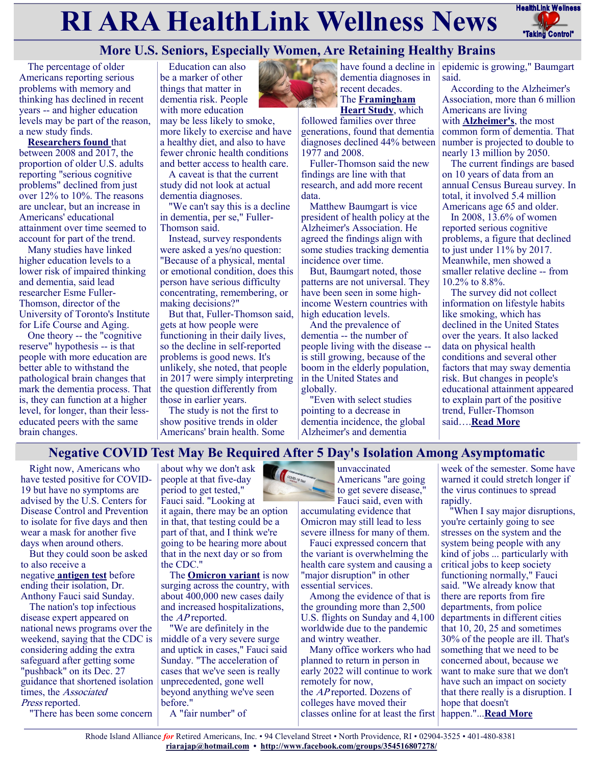# **RI ARA HealthLink Wellness News** Fractific Link Wellness



### **More U.S. Seniors, Especially Women, Are Retaining Healthy Brains**

The percentage of older Americans reporting serious problems with memory and thinking has declined in recent years -- and higher education levels may be part of the reason, a new study finds.

**[Researchers found](https://content.iospress.com/articles/journal-of-alzheimers-disease/jad210561)** that between 2008 and 2017, the proportion of older U.S. adults reporting "serious cognitive problems" declined from just over 12% to 10%. The reasons are unclear, but an increase in Americans' educational attainment over time seemed to account for part of the trend.

Many studies have linked higher education levels to a lower risk of impaired thinking and dementia, said lead researcher Esme Fuller-Thomson, director of the University of Toronto's Institute for Life Course and Aging.

One theory -- the "cognitive reserve" hypothesis -- is that people with more education are better able to withstand the pathological brain changes that mark the dementia process. That is, they can function at a higher level, for longer, than their lesseducated peers with the same brain changes.

Education can also be a marker of other things that matter in dementia risk. People with more education may be less likely to smoke,

more likely to exercise and have a healthy diet, and also to have fewer chronic health conditions and better access to health care.

A caveat is that the current study did not look at actual dementia diagnoses.

"We can't say this is a decline in dementia, per se," Fuller-Thomson said.

Instead, survey respondents were asked a yes/no question: "Because of a physical, mental or emotional condition, does this person have serious difficulty concentrating, remembering, or making decisions?"

But that, Fuller-Thomson said, gets at how people were functioning in their daily lives, so the decline in self-reported problems is good news. It's unlikely, she noted, that people in 2017 were simply interpreting the question differently from those in earlier years.

The study is not the first to show positive trends in older Americans' brain health. Some



dementia diagnoses in recent decades. The **[Framingham](https://www.health.harvard.edu/heart-health/lessons-about-brain-health-from-a-landmark-heart-study)** 

**[Heart Study](https://www.health.harvard.edu/heart-health/lessons-about-brain-health-from-a-landmark-heart-study)**, which

followed families over three generations, found that dementia diagnoses declined 44% between 1977 and 2008.

Fuller-Thomson said the new findings are line with that research, and add more recent data.

Matthew Baumgart is vice president of health policy at the Alzheimer's Association. He agreed the findings align with some studies tracking dementia incidence over time.

But, Baumgart noted, those patterns are not universal. They have been seen in some highincome Western countries with high education levels.

And the prevalence of dementia -- the number of people living with the disease - is still growing, because of the boom in the elderly population, in the United States and globally.

"Even with select studies pointing to a decrease in dementia incidence, the global Alzheimer's and dementia

have found a decline in epidemic is growing," Baumgart said.

> According to the Alzheimer's Association, more than 6 million Americans are living with **[Alzheimer's](https://www.nia.nih.gov/health/alzheimers/basics)**, the most common form of dementia. That number is projected to double to nearly 13 million by 2050.

> The current findings are based on 10 years of data from an annual Census Bureau survey. In total, it involved 5.4 million Americans age 65 and older.

In 2008, 13.6% of women reported serious cognitive problems, a figure that declined to just under 11% by 2017. Meanwhile, men showed a smaller relative decline -- from 10.2% to 8.8%.

The survey did not collect information on lifestyle habits like smoking, which has declined in the United States over the years. It also lacked data on physical health conditions and several other factors that may sway dementia risk. But changes in people's educational attainment appeared to explain part of the positive trend, Fuller-Thomson said….**[Read More](https://consumer.healthday.com/12-30-more-u-s-women-are-staying-sharp-with-age-study-shows-2656165739.html)**

#### **Negative COVID Test May Be Required After 5 Day's Isolation Among Asymptomatic**

Right now, Americans who have tested positive for COVID-19 but have no symptoms are advised by the U.S. Centers for Disease Control and Prevention to isolate for five days and then wear a mask for another five days when around others.

But they could soon be asked to also receive a negative **[antigen test](https://www.cdc.gov/coronavirus/2019-ncov/hcp/testing-overview.html)** before ending their isolation, Dr. Anthony Fauci said Sunday.

The nation's top infectious disease expert appeared on national news programs over the weekend, saying that the CDC is considering adding the extra safeguard after getting some "pushback" on its Dec. 27 guidance that shortened isolation times, the Associated Press reported.

"There has been some concern



it again, there may be an option in that, that testing could be a part of that, and I think we're going to be hearing more about that in the next day or so from the CDC."

The **[Omicron variant](https://www.cdc.gov/coronavirus/2019-ncov/variants/omicron-variant.html)** is now surging across the country, with about 400,000 new cases daily and increased hospitalizations, the AP reported.

"We are definitely in the middle of a very severe surge and uptick in cases," Fauci said Sunday. "The acceleration of cases that we've seen is really unprecedented, gone well beyond anything we've seen before."

A "fair number" of



unvaccinated Americans "are going to get severe disease," Fauci said, even with

accumulating evidence that Omicron may still lead to less severe illness for many of them.

Fauci expressed concern that the variant is overwhelming the health care system and causing a "major disruption" in other essential services.

Among the evidence of that is the grounding more than 2,500 U.S. flights on Sunday and 4,100 worldwide due to the pandemic and wintry weather.

Many office workers who had planned to return in person in early 2022 will continue to work remotely for now, the AP reported. Dozens of colleges have moved their classes online for at least the first week of the semester. Some have warned it could stretch longer if the virus continues to spread rapidly.

"When I say major disruptions, you're certainly going to see stresses on the system and the system being people with any kind of jobs ... particularly with critical jobs to keep society functioning normally," Fauci said. "We already know that there are reports from fire departments, from police departments in different cities that 10, 20, 25 and sometimes 30% of the people are ill. That's something that we need to be concerned about, because we want to make sure that we don't have such an impact on society that there really is a disruption. I hope that doesn't happen."...**[Read More](https://consumer.healthday.com/b-1-3-negative-covid-test-may-be-required-after-five-day-s-isolation-among-asymptomatic-2656209243.html)**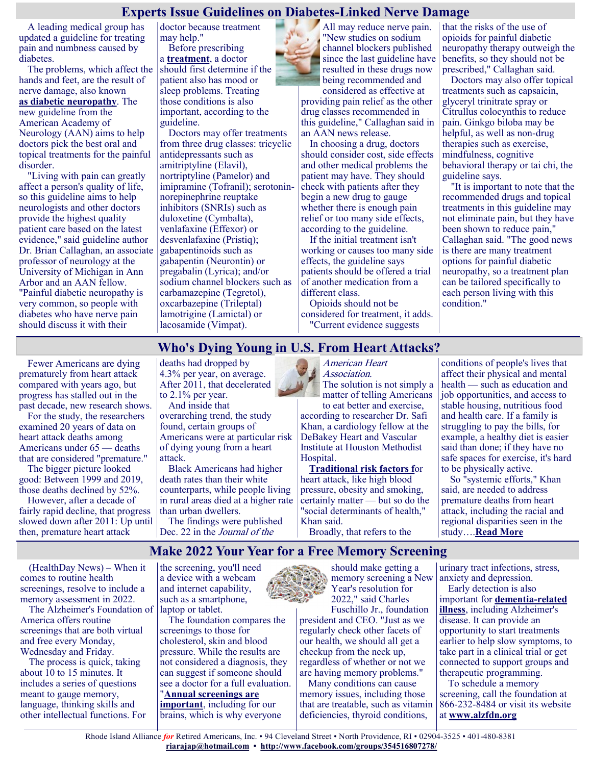#### **Experts Issue Guidelines on Diabetes-Linked Nerve Damage**

A leading medical group has updated a guideline for treating pain and numbness caused by diabetes.

The problems, which affect the hands and feet, are the result of nerve damage, also known **as [diabetic neuropathy](https://www.niddk.nih.gov/health-information/diabetes/overview/preventing-problems/nerve-damage-diabetic-neuropathies)**. The new guideline from the American Academy of Neurology (AAN) aims to help doctors pick the best oral and topical treatments for the painful disorder.

"Living with pain can greatly affect a person's quality of life, so this guideline aims to help neurologists and other doctors provide the highest quality patient care based on the latest evidence," said guideline author Dr. Brian Callaghan, an associate professor of neurology at the University of Michigan in Ann Arbor and an AAN fellow. "Painful diabetic neuropathy is very common, so people with diabetes who have nerve pain should discuss it with their

doctor because treatment may help."

Before prescribing a **[treatment](https://www.mayoclinic.org/diseases-conditions/diabetic-neuropathy/diagnosis-treatment/drc-20371587)**, a doctor should first determine if the patient also has mood or sleep problems. Treating those conditions is also important, according to the guideline.

Doctors may offer treatments from three drug classes: tricyclic antidepressants such as amitriptyline (Elavil), nortriptyline (Pamelor) and imipramine (Tofranil); serotoninnorepinephrine reuptake inhibitors (SNRIs) such as duloxetine (Cymbalta), venlafaxine (Effexor) or desvenlafaxine (Pristiq); gabapentinoids such as gabapentin (Neurontin) or pregabalin (Lyrica); and/or sodium channel blockers such as carbamazepine (Tegretol), oxcarbazepine (Trileptal) lamotrigine (Lamictal) or lacosamide (Vimpat).

All may reduce nerve pain. "New studies on sodium channel blockers published since the last guideline have resulted in these drugs now being recommended and considered as effective at

providing pain relief as the other drug classes recommended in this guideline," Callaghan said in an AAN news release.

In choosing a drug, doctors should consider cost, side effects and other medical problems the patient may have. They should check with patients after they begin a new drug to gauge whether there is enough pain relief or too many side effects, according to the guideline.

If the initial treatment isn't working or causes too many side effects, the guideline says patients should be offered a trial of another medication from a different class.

Opioids should not be considered for treatment, it adds. "Current evidence suggests

that the risks of the use of opioids for painful diabetic neuropathy therapy outweigh the benefits, so they should not be prescribed," Callaghan said.

Doctors may also offer topical treatments such as capsaicin, glyceryl trinitrate spray or Citrullus colocynthis to reduce pain. Ginkgo biloba may be helpful, as well as non-drug therapies such as exercise, mindfulness, cognitive behavioral therapy or tai chi, the guideline says.

"It is important to note that the recommended drugs and topical treatments in this guideline may not eliminate pain, but they have been shown to reduce pain," Callaghan said. "The good news is there are many treatment options for painful diabetic neuropathy, so a treatment plan can be tailored specifically to each person living with this condition."

#### **Who's Dying Young in U.S. From Heart Attacks?**

Fewer Americans are dying prematurely from heart attack compared with years ago, but progress has stalled out in the past decade, new research shows.

For the study, the researchers examined 20 years of data on heart attack deaths among Americans under 65 — deaths that are considered "premature."

The bigger picture looked good: Between 1999 and 2019, those deaths declined by 52%.

However, after a decade of fairly rapid decline, that progress slowed down after 2011: Up until then, premature heart attack

deaths had dropped by 4.3% per year, on average. After 2011, that decelerated to 2.1% per year.

And inside that

overarching trend, the study found, certain groups of Americans were at particular risk of dying young from a heart attack.

Black Americans had higher death rates than their white counterparts, while people living in rural areas died at a higher rate than urban dwellers.

The findings were published Dec. 22 in the Journal of the

#### American Heart

Association. The solution is not simply a matter of telling Americans to eat better and exercise, according to researcher Dr. Safi Khan, a cardiology fellow at the DeBakey Heart and Vascular Institute at Houston Methodist Hospital.

**[Traditional risk factors](https://medlineplus.gov/howtopreventheartdisease.html) f**or heart attack, like high blood pressure, obesity and smoking, certainly matter — but so do the "social determinants of health," Khan said.

conditions of people's lives that affect their physical and mental health — such as education and job opportunities, and access to stable housing, nutritious food and health care. If a family is struggling to pay the bills, for example, a healthy diet is easier said than done; if they have no safe spaces for exercise, it's hard to be physically active.

So "systemic efforts," Khan said, are needed to address premature deaths from heart attack, including the racial and regional disparities seen in the study….**[Read More](https://www.usnews.com/news/health-news/articles/2021-12-22/whos-dying-young-in-u-s-from-heart-attacks)**

Broadly, that refers to the

### **Make 2022 Your Year for a Free Memory Screening**

(HealthDay News) – When it comes to routine health screenings, resolve to include a memory assessment in 2022.

The Alzheimer's Foundation of America offers routine screenings that are both virtual and free every Monday, Wednesday and Friday.

The process is quick, taking about 10 to 15 minutes. It includes a series of questions meant to gauge memory, language, thinking skills and other intellectual functions. For

the screening, you'll need a device with a webcam and internet capability, such as a smartphone, laptop or tablet.

The foundation compares the screenings to those for cholesterol, skin and blood pressure. While the results are not considered a diagnosis, they can suggest if someone should see a doctor for a full evaluation. "**[Annual screenings are](https://www.hhs.gov/programs/prevention-and-wellness/health-screenings/index.html)  [important](https://www.hhs.gov/programs/prevention-and-wellness/health-screenings/index.html)**, including for our brains, which is why everyone

should make getting a memory screening a New Year's resolution for 2022," said Charles

Fuschillo Jr., foundation president and CEO. "Just as we regularly check other facets of our health, we should all get a checkup from the neck up, regardless of whether or not we are having memory problems."

Many conditions can cause memory issues, including those that are treatable, such as vitamin deficiencies, thyroid conditions,

urinary tract infections, stress, anxiety and depression.

Early detection is also important for **[dementia](https://www.nia.nih.gov/health/alzheimers/related-dementias#:~:text=Many%20conditions%20and%20diseases%20cause,body%20dementia%2C%20and%20frontotemporal%20disorders.&text=Learn%20about%20symptoms%2C%20diagnosis%2C%20treatment,for%20people%20with%20frontotempo)-related [illness](https://www.nia.nih.gov/health/alzheimers/related-dementias#:~:text=Many%20conditions%20and%20diseases%20cause,body%20dementia%2C%20and%20frontotemporal%20disorders.&text=Learn%20about%20symptoms%2C%20diagnosis%2C%20treatment,for%20people%20with%20frontotempo)**, including Alzheimer's disease. It can provide an opportunity to start treatments earlier to help slow symptoms, to take part in a clinical trial or get connected to support groups and therapeutic programming.

To schedule a memory screening, call the foundation at 866-232-8484 or visit its website at **[www.alzfdn.org](http://www.alzfdn.org/)**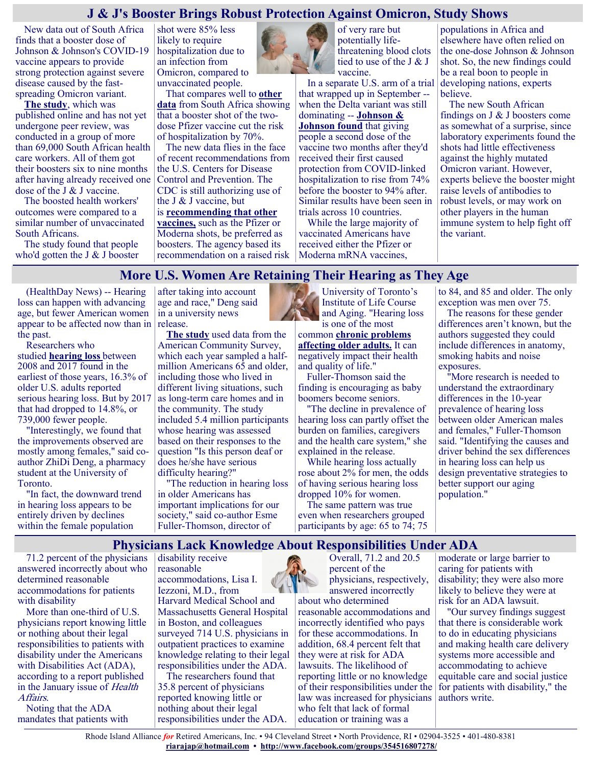#### **J & J's Booster Brings Robust Protection Against Omicron, Study Shows**

New data out of South Africa finds that a booster dose of Johnson & Johnson's COVID-19 vaccine appears to provide strong protection against severe disease caused by the fastspreading Omicron variant.

**[The study](https://www.medrxiv.org/content/10.1101/2021.12.28.21268436v1)**, which was published online and has not yet undergone peer review, was conducted in a group of more than 69,000 South African health care workers. All of them got their boosters six to nine months after having already received one dose of the J & J vaccine.

The boosted health workers' outcomes were compared to a similar number of unvaccinated South Africans.

The study found that people who'd gotten the J & J booster

shot were 85% less likely to require hospitalization due to an infection from Omicron, compared to unvaccinated people.

That compares well to **[other](https://consumer.healthday.com/b-12-14-omicron-resists-vaccines-more-but-causes-less-severe-disease-study-2656024787.html)  [data](https://consumer.healthday.com/b-12-14-omicron-resists-vaccines-more-but-causes-less-severe-disease-study-2656024787.html)** from South Africa showing that a booster shot of the twodose Pfizer vaccine cut the risk of hospitalization by 70%.

The new data flies in the face of recent recommendations from the U.S. Centers for Disease Control and Prevention. The CDC is still authorizing use of the J & J vaccine, but

is **[recommending that other](https://consumer.healthday.com/b-12-16-cdc-vaccine-panel-to-again-weigh-safety-of-jj-covid-shot-2656055677.html)  [vaccines,](https://consumer.healthday.com/b-12-16-cdc-vaccine-panel-to-again-weigh-safety-of-jj-covid-shot-2656055677.html)** such as the Pfizer or Moderna shots, be preferred as boosters. The agency based its recommendation on a raised risk



of very rare but potentially lifethreatening blood clots tied to use of the J & J vaccine.

In a separate U.S. arm of a trial that wrapped up in September - when the Delta variant was still dominating -- **[Johnson &](https://www.jnj.com/johnson-johnson-announces-real-world-evidence-and-phase-3-data-confirming-strong-and-long-lasting-protection-of-single-shot-covid-19-vaccine-in-the-u-s)  [Johnson found](https://www.jnj.com/johnson-johnson-announces-real-world-evidence-and-phase-3-data-confirming-strong-and-long-lasting-protection-of-single-shot-covid-19-vaccine-in-the-u-s)** that giving people a second dose of the vaccine two months after they'd received their first caused protection from COVID-linked hospitalization to rise from 74% before the booster to 94% after. Similar results have been seen in trials across 10 countries.

While the large majority of vaccinated Americans have received either the Pfizer or Moderna mRNA vaccines,

populations in Africa and elsewhere have often relied on the one-dose Johnson & Johnson shot. So, the new findings could be a real boon to people in developing nations, experts believe.

The new South African findings on J & J boosters come as somewhat of a surprise, since laboratory experiments found the shots had little effectiveness against the highly mutated Omicron variant. However, experts believe the booster might raise levels of antibodies to robust levels, or may work on other players in the human immune system to help fight off the variant.

#### **More U.S. Women Are Retaining Their Hearing as They Age**

(HealthDay News) -- Hearing loss can happen with advancing age, but fewer American women appear to be affected now than in the past.

Researchers who studied **[hearing loss](https://www.nia.nih.gov/health/hearing-loss-common-problem-older-adults)** between 2008 and 2017 found in the earliest of those years, 16.3% of older U.S. adults reported serious hearing loss. But by 2017 that had dropped to 14.8%, or 739,000 fewer people.

"Interestingly, we found that the improvements observed are mostly among females," said coauthor ZhiDi Deng, a pharmacy student at the University of Toronto.

"In fact, the downward trend in hearing loss appears to be entirely driven by declines within the female population

after taking into account age and race," Deng said in a university news release.

**[The study](https://www.sciencedirect.com/science/article/pii/S2667032121000469)** used data from the American Community Survey, which each year sampled a halfmillion Americans 65 and older, including those who lived in different living situations, such as long-term care homes and in the community. The study included 5.4 million participants whose hearing was assessed based on their responses to the question "Is this person deaf or does he/she have serious difficulty hearing?"

"The reduction in hearing loss in older Americans has important implications for our society," said co-author Esme Fuller-Thomson, director of

University of Toronto's Institute of Life Course and Aging. "Hearing loss

is one of the most common **[chronic problems](https://medlineplus.gov/genetics/condition/age-related-hearing-loss/)  [affecting older adults.](https://medlineplus.gov/genetics/condition/age-related-hearing-loss/)** It can negatively impact their health and quality of life."

Fuller-Thomson said the finding is encouraging as baby boomers become seniors.

"The decline in prevalence of hearing loss can partly offset the burden on families, caregivers and the health care system," she explained in the release.

While hearing loss actually rose about 2% for men, the odds of having serious hearing loss dropped 10% for women.

The same pattern was true even when researchers grouped participants by age: 65 to 74; 75 to 84, and 85 and older. The only exception was men over 75.

The reasons for these gender differences aren't known, but the authors suggested they could include differences in anatomy, smoking habits and noise exposures.

"More research is needed to understand the extraordinary differences in the 10-year prevalence of hearing loss between older American males and females," Fuller-Thomson said. "Identifying the causes and driver behind the sex differences in hearing loss can help us design preventative strategies to better support our aging population."

#### **Physicians Lack Knowledge About Responsibilities Under ADA**

71.2 percent of the physicians answered incorrectly about who determined reasonable accommodations for patients with disability

More than one-third of U.S. physicians report knowing little or nothing about their legal responsibilities to patients with disability under the Americans with Disabilities Act (ADA), according to a report published in the January issue of Health Affairs.

Noting that the ADA mandates that patients with disability receive reasonable accommodations, Lisa I. Iezzoni, M.D., from Harvard Medical School and Massachusetts General Hospital in Boston, and colleagues surveyed 714 U.S. physicians in outpatient practices to examine knowledge relating to their legal responsibilities under the ADA.

The researchers found that 35.8 percent of physicians reported knowing little or nothing about their legal responsibilities under the ADA.



percent of the physicians, respectively, answered incorrectly

about who determined reasonable accommodations and incorrectly identified who pays for these accommodations. In addition, 68.4 percent felt that they were at risk for ADA lawsuits. The likelihood of reporting little or no knowledge of their responsibilities under the law was increased for physicians who felt that lack of formal education or training was a

moderate or large barrier to caring for patients with disability; they were also more likely to believe they were at risk for an ADA lawsuit.

"Our survey findings suggest that there is considerable work to do in educating physicians and making health care delivery systems more accessible and accommodating to achieve equitable care and social justice for patients with disability," the authors write.